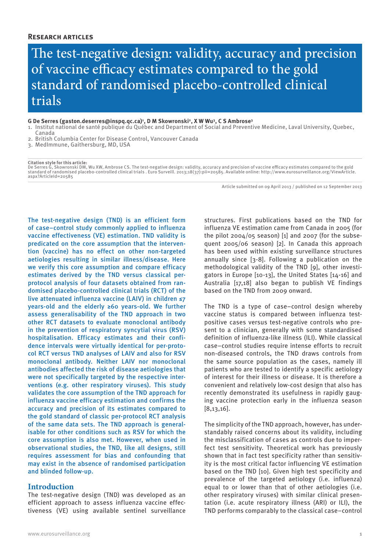### **Research articles**

The test-negative design: validity, accuracy and precision of vaccine efficacy estimates compared to the gold standard of randomised placebo-controlled clinical trials

**G De Serres (gaston.deserres@inspq.qc.ca)1 , D M Skowronski2, X W Wu3, C S Ambrose3**

- 1. Institut national de santé publique du Québec and Department of Social and Preventive Medicine, Laval University, Quebec, Canada
- 2. British Columbia Center for Disease Control, Vancouver Canada
- 3. MedImmune, Gaithersburg, MD, USA

**Citation style for this article:**

De Serres G, Skowronski DM, Wu XW, Ambrose CS. The test-negative design: validity, accuracy and precision of vaccine efficacy estimates compared to the gold standard of randomised placebo-controlled clinical trials . Euro Surveill. 2013;18(37):pii=20585. Available online: http://www.eurosurveillance.org/ViewArticle.<br>aspx?ArticleId=20585

Article submitted on 09 April 2013 / published on 12 September 2013

The test-negative design (TND) is an efficient form of case–control study commonly applied to influenza vaccine effectiveness (VE) estimation. TND validity is predicated on the core assumption that the intervention (vaccine) has no effect on other non-targeted aetiologies resulting in similar illness/disease. Here we verify this core assumption and compare efficacy estimates derived by the TND versus classical perprotocol analysis of four datasets obtained from randomised placebo-controlled clinical trials (RCT) of the live attenuated influenza vaccine (LAIV) in children ≤7 years-old and the elderly ≥60 years-old. We further assess generalisability of the TND approach in two other RCT datasets to evaluate monoclonal antibody in the prevention of respiratory syncytial virus (RSV) hospitalisation. Efficacy estimates and their confidence intervals were virtually identical for per-protocol RCT versus TND analyses of LAIV and also for RSV monoclonal antibody. Neither LAIV nor monoclonal antibodies affected the risk of disease aetiologies that were not specifically targeted by the respective interventions (e.g. other respiratory viruses). This study validates the core assumption of the TND approach for influenza vaccine efficacy estimation and confirms the accuracy and precision of its estimates compared to the gold standard of classic per-protocol RCT analysis of the same data sets. The TND approach is generalisable for other conditions such as RSV for which the core assumption is also met. However, when used in observational studies, the TND, like all designs, still requires assessment for bias and confounding that may exist in the absence of randomised participation and blinded follow-up.

#### **Introduction**

The test-negative design (TND) was developed as an efficient approach to assess influenza vaccine effectiveness (VE) using available sentinel surveillance influenza VE estimation came from Canada in 2005 (for the pilot 2004/05 season) [1] and 2007 (for the subsequent 2005/06 season) [2]. In Canada this approach has been used within existing surveillance structures annually since [3-8]. Following a publication on the methodological validity of the TND [9], other investigators in Europe [10-13], the United States [14-16] and Australia [17,18] also began to publish VE findings based on the TND from 2009 onward.

structures. First publications based on the TND for

The TND is a type of case–control design whereby vaccine status is compared between influenza testpositive cases versus test-negative controls who present to a clinician, generally with some standardised definition of influenza-like illness (ILI). While classical case–control studies require intense efforts to recruit non-diseased controls, the TND draws controls from the same source population as the cases, namely ill patients who are tested to identify a specific aetiology of interest for their illness or disease. It is therefore a convenient and relatively low-cost design that also has recently demonstrated its usefulness in rapidly gauging vaccine protection early in the influenza season [8,13,16].

The simplicity of the TND approach, however, has understandably raised concerns about its validity, including the misclassification of cases as controls due to imperfect test sensitivity. Theoretical work has previously shown that in fact test specificity rather than sensitivity is the most critical factor influencing VE estimation based on the TND [10]. Given high test specificity and prevalence of the targeted aetiology (i.e. influenza) equal to or lower than that of other aetiologies (i.e. other respiratory viruses) with similar clinical presentation (i.e. acute respiratory illness (ARI) or ILI), the TND performs comparably to the classical case–control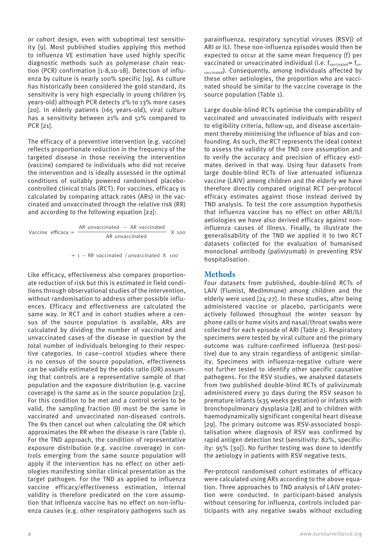or cohort design, even with suboptimal test sensitivity [9]. Most published studies applying this method to influenza VE estimation have used highly specific diagnostic methods such as polymerase chain reaction (PCR) confirmation [1-8,10-18]. Detection of influenza by culture is nearly 100% specific [19]. As culture has historically been considered the gold standard, its sensitivity is very high especially in young children (<5 years-old) although PCR detects 2% to 13% more cases [20]. In elderly patients (>65 years-old), viral culture has a sensitivity between 21% and 51% compared to PCR [21].

The efficacy of a preventive intervention (e.g. vaccine) reflects proportionate reduction in the frequency of the targeted disease in those receiving the intervention (vaccine) compared to individuals who did not receive the intervention and is ideally assessed in the optimal conditions of suitably powered randomised placebocontrolled clinical trials (RCT). For vaccines, efficacy is calculated by comparing attack rates (ARs) in the vaccinated and unvaccinated through the relative risk (RR) and according to the following equation [22]:

Vaccine efficacy = 
$$
\frac{AR unvaccinated - AR vacinated}{AR unvaccinated} \times 100
$$

 $= 1 - RR$  vaccinated / unvaccinated X 100  $= 1 -$ 

> Like efficacy, effectiveness also compares proportionate reduction of risk but this is estimated in field conditions through observational studies of the intervention, without randomisation to address other possible influences. Efficacy and effectiveness are calculated the same way. In RCT and in cohort studies where a census of the source population is available, ARs are calculated by dividing the number of vaccinated and unvaccinated cases of the disease in question by the total number of individuals belonging to their respective categories. In case–control studies where there is no census of the source population, effectiveness can be validly estimated by the odds ratio (OR) assuming that controls are a representative sample of that population and the exposure distribution (e.g. vaccine coverage) is the same as in the source population [23]. For this condition to be met and a control series to be valid, the sampling fraction (θ) must be the same in vaccinated and unvaccinated non-diseased controls. The θs then cancel out when calculating the OR which approximates the RR when the disease is rare (Table 1). For the TND approach, the condition of representative exposure distribution (e.g. vaccine coverage) in controls emerging from the same source population will apply if the intervention has no effect on other aetiologies manifesting similar clinical presentation as the target pathogen. For the TND as applied to influenza vaccine efficacy/effectiveness estimation, internal validity is therefore predicated on the core assumption that influenza vaccine has no effect on non-influenza causes (e.g. other respiratory pathogens such as

parainfluenza, respiratory syncytial viruses (RSV)) of ARI or ILI. These non-influenza episodes would then be expected to occur at the same mean frequency (f) per vaccinated or unvaccinated individual (i.e.  $f_{vacinated} = f_{un}$ . vaccinated). Consequently, among individuals affected by these other aetiologies, the proportion who are vaccinated should be similar to the vaccine coverage in the source population (Table 1).

Large double-blind RCTs optimise the comparability of vaccinated and unvaccinated individuals with respect to eligibility criteria, follow-up, and disease ascertainment thereby minimising the influence of bias and confounding. As such, the RCT represents the ideal context to assess the validity of the TND core assumption and to verify the accuracy and precision of efficacy estimates derived in that way. Using four datasets from large double-blind RCTs of live attenuated influenza vaccine (LAIV) among children and the elderly we have therefore directly compared original RCT per-protocol efficacy estimates against those instead derived by TND analysis. To test the core assumption hypothesis that influenza vaccine has no effect on other ARI/ILI aetiologies we have also derived efficacy against noninfluenza causes of illness. Finally, to illustrate the AR unvaccinated TX 100 Minimum Cambridge Communication (X 100 1 Representation of the TND we applied it to two RCT datasets collected for the evaluation of humanised monoclonal antibody (palivizumab) in preventing RSV hospitalisation.

# **Methods**

Four datasets from published, double-blind RCTs of LAIV (Flumist, MedImmune) among children and the elderly were used [24-27]. In these studies, after being administered vaccine or placebo, participants were actively followed throughout the winter season by phone calls or home visits and nasal/throat swabs were collected for each episode of ARI (Table 2). Respiratory specimens were tested by viral culture and the primary outcome was culture-confirmed influenza (test-positive) due to any strain regardless of antigenic similarity. Specimens with influenza-negative culture were not further tested to identify other specific causative pathogens. For the RSV studies, we analysed datasets from two published double-blind RCTs of palivizumab administered every 30 days during the RSV season to premature infants (≤35 weeks gestation) or infants with bronchopulmonary dysplasia [28] and to children with haemodynamically significant congenital heart disease [29]. The primary outcome was RSV-associated hospitalisation where diagnosis of RSV was confirmed by rapid antigen detection test (sensitivity: 82%, specificity: 95% [30]). No further testing was done to identify the aetiology in patients with RSV negative tests.

Per-protocol randomised cohort estimates of efficacy were calculated using ARs according to the above equation. Three approaches to TND analysis of LAIV protection were conducted. In participant-based analysis without censoring for influenza, controls included participants with any negative swabs without excluding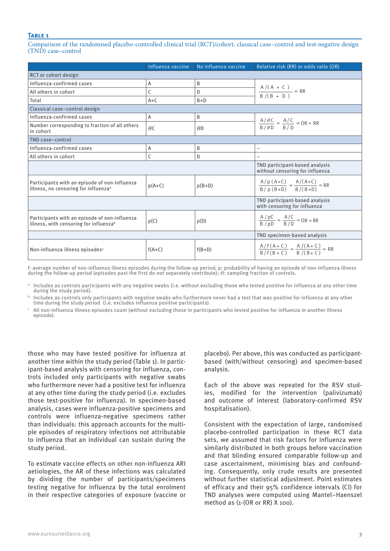Comparison of the randomised placebo-controlled clinical trial (RCT)/cohort, classical case–control and test-negative design (TND) case–control

|                                                                                                     | Influenza vaccine                                              | No influenza vaccine | Relative risk (RR) or odds ratio (OR)                             |
|-----------------------------------------------------------------------------------------------------|----------------------------------------------------------------|----------------------|-------------------------------------------------------------------|
| <b>RCT</b> or cohort design                                                                         |                                                                |                      |                                                                   |
| Influenza-confirmed cases                                                                           | A                                                              | B                    |                                                                   |
| All others in cohort                                                                                | C                                                              | D                    | $\frac{A/(A + C)}{B/(B + D)} = RR$                                |
| Total                                                                                               | $A+C$                                                          | $B+D$                |                                                                   |
| Classical case-control design                                                                       |                                                                |                      |                                                                   |
| Influenza-confirmed cases                                                                           | A                                                              | B                    |                                                                   |
| Number corresponding to fraction of all others<br>in cohort                                         | $\theta$ C                                                     | $\theta$ D           | $\frac{A/\theta C}{B/\theta D} = \frac{A/C}{B/D} = OR \approx RR$ |
| TND case-control                                                                                    |                                                                |                      |                                                                   |
| Influenza-confirmed cases                                                                           | A                                                              | B                    |                                                                   |
| All others in cohort                                                                                | C                                                              | D                    |                                                                   |
|                                                                                                     |                                                                |                      | TND participant-based analysis<br>without censoring for influenza |
| Participants with an episode of non-influenza<br>illness, no censoring for influenza <sup>a</sup>   | $p(A+C)$                                                       | $p(B+D)$             | $\frac{A/p (A+C)}{B/p (B+D)} = \frac{A/(A+C)}{B/(B+D)} = RR$      |
|                                                                                                     | TND participant-based analysis<br>with censoring for influenza |                      |                                                                   |
| Participants with an episode of non-influenza<br>illness, with censoring for influenza <sup>b</sup> | p(C)                                                           | p(D)                 | $\frac{A/pC}{B/pD} = \frac{A/C}{B/D} = QR \approx RR$             |
|                                                                                                     |                                                                |                      | TND specimen-based analysis                                       |
| Non-influenza illness episodes <sup>c</sup>                                                         | $f(A+C)$                                                       | $f(B+D)$             | $\frac{A/f(A+C)}{B/f(B+C)} = \frac{A/(A+C)}{B/(B+C)} = RR$        |

f: average number of non-influenza illness episodes during the follow-up period; p: probability of having an episode of non-influenza illness during the follow-up period (episodes past the first do not separately contribute); *Θ*: sampling fraction of controls.

<sup>a</sup> Includes as controls participants with any negative swabs (i.e. without excluding those who tested positive for influenza at any other time during the study period).

 $^{\rm b}$  Includes as controls only participants with negative swabs who furthermore never had a test that was positive for influenza at any other time during the study period (i.e. excludes influenza positive participants).

<sup>c</sup> All non-influenza illness episodes count (without excluding those in participants who tested positive for influenza in another illness episode).

those who may have tested positive for influenza at another time within the study period (Table 1). In participant-based analysis with censoring for influenza, controls included only participants with negative swabs who furthermore never had a positive test for influenza at any other time during the study period (i.e. excludes those test-positive for influenza). In specimen-based analysis, cases were influenza-positive specimens and controls were influenza-negative specimens rather than individuals: this approach accounts for the multiple episodes of respiratory infections not attributable to influenza that an individual can sustain during the study period.

To estimate vaccine effects on other non-influenza ARI aetiologies, the AR of these infections was calculated by dividing the number of participants/specimens testing negative for influenza by the total enrolment in their respective categories of exposure (vaccine or placebo). Per above, this was conducted as participantbased (with/without censoring) and specimen-based analysis.

Each of the above was repeated for the RSV studies, modified for the intervention (palivizumab) and outcome of interest (laboratory-confirmed RSV hospitalisation).

Consistent with the expectation of large, randomised placebo-controlled participation in these RCT data sets, we assumed that risk factors for influenza were similarly distributed in both groups before vaccination and that blinding ensured comparable follow-up and case ascertainment, minimising bias and confounding. Consequently, only crude results are presented without further statistical adjustment. Point estimates of efficacy and their 95% confidence intervals (CI) for TND analyses were computed using Mantel–Haenszel method as (1-(OR or RR) X 100).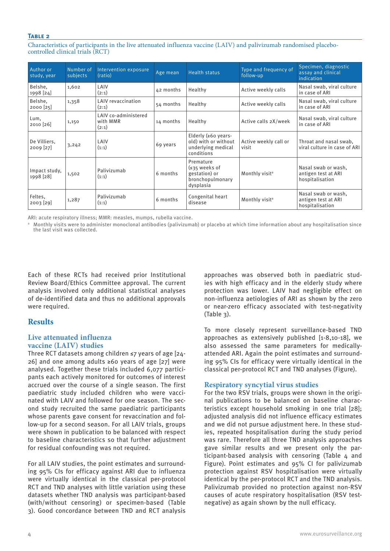Characteristics of participants in the live attenuated influenza vaccine (LAIV) and palivizumab randomised placebocontrolled clinical trials (RCT)

| Author or<br>study, year    | Number of<br>subjects | Intervention exposure<br>(ratio)          | Age mean  | <b>Health status</b>                                                                    | Type and frequency of<br>follow-up | Specimen, diagnostic<br>assay and clinical<br>indication      |
|-----------------------------|-----------------------|-------------------------------------------|-----------|-----------------------------------------------------------------------------------------|------------------------------------|---------------------------------------------------------------|
| Belshe,<br>1998 [24]        | 1,602                 | LAIV<br>(2:1)                             | 42 months | Healthy                                                                                 | Active weekly calls                | Nasal swab, viral culture<br>in case of ARI                   |
| Belshe,<br>$2000$ [25]      | 1,358                 | <b>LAIV</b> revaccination<br>(2:1)        | 54 months | Healthy                                                                                 | Active weekly calls                | Nasal swab, viral culture<br>in case of ARI                   |
| Lum,<br>2010 [26]           | 1,150                 | LAIV co-administered<br>with MMR<br>(2:1) | 14 months | Healthy                                                                                 | Active calls 2X/week               | Nasal swab, viral culture<br>in case of ARI                   |
| De Villiers,<br>$2009$ [27] | 3,242                 | LAIV<br>(1:1)                             | 69 years  | Elderly (≥60 years-<br>old) with or without<br>underlying medical<br>conditions         | Active weekly call or<br>visit     | Throat and nasal swab,<br>viral culture in case of ARI        |
| Impact study,<br>1998 [28]  | 1,502                 | Palivizumab<br>(1:1)                      | 6 months  | Premature<br>$(s35 \text{ weeks of})$<br>gestation) or<br>bronchopulmonary<br>dysplasia | Monthly visit <sup>a</sup>         | Nasal swab or wash,<br>antigen test at ARI<br>hospitalisation |
| Feltes,<br>$2003$ [29]      | 1,287                 | Palivizumab<br>(1:1)                      | 6 months  | Congenital heart<br>disease                                                             | Monthly visit <sup>a</sup>         | Nasal swab or wash,<br>antigen test at ARI<br>hospitalisation |

ARI: acute respiratory illness; MMR: measles, mumps, rubella vaccine.

<sup>a</sup> Monthly visits were to administer monoclonal antibodies (palivizumab) or placebo at which time information about any hospitalisation since the last visit was collected.

Each of these RCTs had received prior Institutional Review Board/Ethics Committee approval. The current analysis involved only additional statistical analyses of de-identified data and thus no additional approvals were required.

# **Results**

## **Live attenuated influenza vaccine (LAIV) studies**

Three RCT datasets among children ≤7 years of age [24- 26] and one among adults ≥60 years of age [27] were analysed. Together these trials included 6,077 participants each actively monitored for outcomes of interest accrued over the course of a single season. The first paediatric study included children who were vaccinated with LAIV and followed for one season. The second study recruited the same paediatric participants whose parents gave consent for revaccination and follow-up for a second season. For all LAIV trials, groups were shown in publication to be balanced with respect to baseline characteristics so that further adjustment for residual confounding was not required.

For all LAIV studies, the point estimates and surrounding 95% CIs for efficacy against ARI due to influenza were virtually identical in the classical per-protocol RCT and TND analyses with little variation using these datasets whether TND analysis was participant-based (with/without censoring) or specimen-based (Table 3). Good concordance between TND and RCT analysis

approaches was observed both in paediatric studies with high efficacy and in the elderly study where protection was lower. LAIV had negligible effect on non-influenza aetiologies of ARI as shown by the zero or near-zero efficacy associated with test-negativity (Table 3).

To more closely represent surveillance-based TND approaches as extensively published [1-8,10-18], we also assessed the same parameters for medicallyattended ARI. Again the point estimates and surrounding 95% CIs for efficacy were virtually identical in the classical per-protocol RCT and TND analyses (Figure).

## **Respiratory syncytial virus studies**

For the two RSV trials, groups were shown in the original publications to be balanced on baseline characteristics except household smoking in one trial [28]; adjusted analysis did not influence efficacy estimates and we did not pursue adjustment here. In these studies, repeated hospitalisation during the study period was rare. Therefore all three TND analysis approaches gave similar results and we present only the participant-based analysis with censoring (Table  $\Delta$  and Figure). Point estimates and 95% CI for palivizumab protection against RSV hospitalisation were virtually identical by the per-protocol RCT and the TND analysis. Palivizumab provided no protection against non-RSV causes of acute respiratory hospitalisation (RSV testnegative) as again shown by the null efficacy.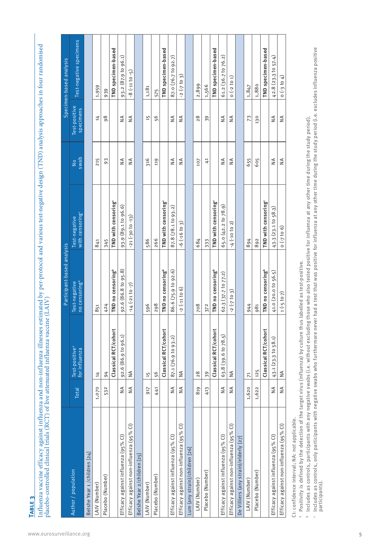Influenza vaccine efficacy against influenza and non-influenza illnesses estimated by per-protocol and various test-negative design (TND) analysis approaches in four randomised<br>placebo-controlled clinical trials (RCT) of l Influenza vaccine efficacy against influenza and non-influenza illnesses estimated by per-protocol and various test-negative design (TND) analysis approaches in four randomised placebo-controlled clinical trials (RCT) of live attenuated influenza vaccine (LAIV)

|                                              |               |                                             | Participant-based analysis                 |                                              |                       |                            | Specimen-based analysis |
|----------------------------------------------|---------------|---------------------------------------------|--------------------------------------------|----------------------------------------------|-----------------------|----------------------------|-------------------------|
| Author / population                          | <b>Total</b>  | Test-positive <sup>a</sup><br>for influenza | no censoring <sup>b</sup><br>Test-negative | with censoring <sup>c</sup><br>Test-negative | swab<br>$\frac{1}{2}$ | Test-positive<br>specimens | Test-negative specimens |
| Belshe Year 1 /children [24]                 |               |                                             |                                            |                                              |                       |                            |                         |
| LAIV (Number)                                | 1,070         | 14                                          | 851                                        | 841                                          | 215                   | 14                         | 1,959                   |
| Placebo (Number)                             | 532           | 94                                          | 424                                        | 345                                          | 93                    | 98                         | 939                     |
|                                              |               | Classical RCT/cohort                        | TND no censoring <sup>b</sup>              | TND with censoring <sup>®</sup>              |                       |                            | TND specimen-based      |
| Efficacy against influenza (95% Cl)          | ≸             | 92.6 (86.9 to 96.1)                         | 92.6 (86.8 to 95.8)                        | 93.9 (89.1 to 96.6)                          | $\frac{4}{2}$         | $\frac{4}{2}$              | 93.2 (87.9 to 96.1)     |
| Efficacy against non-influenza (95% Cl)      | $\frac{1}{2}$ | $\frac{4}{2}$                               | $-14(-2110-7)$                             | $-21(-30t0-13)$                              | $\frac{4}{2}$         | $\frac{4}{2}$              | $-8(-1110-5)$           |
| Belshe Year 2/children [25]                  |               |                                             |                                            |                                              |                       |                            |                         |
| LAIV (Number)                                | 917           | 15                                          | 596                                        | 586                                          | 316                   | 15                         | 1,181                   |
| Placebo (Number)                             | 441           | 56                                          | 298                                        | 266                                          | 119                   | 56                         | 575                     |
|                                              |               | Classical RCT/cohort                        | TND no censoring <sup>b</sup>              | TND with censoring <sup>®</sup>              |                       |                            | TND specimen-based      |
| Efficacy against influenza (95% Cl)          | $\frac{4}{2}$ | 87.1 (76.9 to 93.2)                         | 86.6 (75.9 to 92.6)                        | 87.8 (78.1 to 93.2)                          | $\frac{4}{2}$         | $\frac{4}{2}$              | 87.0 (76.7 to 92.7)     |
| Efficacy against non-influenza (95% Cl)      | $\lessapprox$ | $\frac{4}{2}$                               | $-2(-11106)$                               | $-6$ $(-16)$ to 3                            | $\frac{4}{2}$         | $\frac{4}{2}$              | $-2(-7)$ to 3)          |
| Lum (any strain)/children [26]               |               |                                             |                                            |                                              |                       |                            |                         |
| LAIV (Number)                                | 819           | 28                                          | 708                                        | 684                                          | 107                   | 28                         | 2,899                   |
| Placebo (Number)                             | 413           | 39                                          | 372                                        | 333                                          | 41                    | 39                         | 1,566                   |
|                                              |               | Classical RCT/cohort                        | TND no censoring <sup>b</sup>              | TND with censoring <sup>®</sup>              |                       |                            | TND specimen-based      |
| Efficacy against influenza (95% Cl)          | $\frac{4}{2}$ | 63.8 (39.6 to 78.5)                         | 62.3 (37.7 to 77.2)                        | 65.0 (42.2 to 78.9)                          | $\frac{4}{2}$         | $\frac{4}{2}$              | 61.2 (36.7 to 76.2)     |
| Efficacy against non-influenza (95% Cl)      | ₹             | $\frac{4}{2}$                               | $-2(-7)$ to 3                              | $-4(-10)$ to 2)                              | $\frac{1}{2}$         | $\frac{4}{2}$              | $0(-2)$ to 1            |
| De Villiers (any strain)/elderly [27]        |               |                                             |                                            |                                              |                       |                            |                         |
| LAIV (Number)                                | 1,620         | 71                                          | 944                                        | 894                                          | 655                   | 73                         | 1,847                   |
| Placebo (Number)                             | 1,622         | 125                                         | 981                                        | 892                                          | 605                   | 130                        | 1,880                   |
|                                              |               | Classical RCT/cohort                        | TND no censoring <sup>b</sup>              | TND with censoring <sup>®</sup>              |                       |                            | TND specimen-based      |
| Efficacy against influenza (95% Cl)          | $\frac{4}{2}$ | 43.1 (23.3 to 58.1)                         | 41.0 (20.0 to 56.5)                        | 43.3 (23.1 to 58.3)                          | $\frac{4}{2}$         | ≸                          | 42.8(23.31057.4)        |
| Efficacy against non-influenza (95% Cl)      | ≸             | $\frac{4}{2}$                               | $1(-5 \text{ to } 7)$                      | (9 012)                                      | $\frac{4}{2}$         | $\frac{4}{2}$              | $0 (-3) 0 4$            |
| Cl: confidence interval; NA: not applicable. |               |                                             |                                            |                                              |                       |                            |                         |

CI: confidence interval; NA: not applicable.

a Positivity is defined by the detection of the target virus (influenza) by culture thus labelled as test-positive. Positivity is defined by the detection of the target virus (influenza) by culture thus labelled as test-positive.

<sup>b</sup> Includes as controls, participants with any negative swabs (i.e. without excluding those who also tested positive for influenza at any other time during the study period). Includes as controls, participants with any negative swabs (i.e. without excluding those who also tested positive for influenza at any other time during the study period).

r Includes as controls, only participants with negative swabs who furthermore never had a test that was positive for influenza at any other time during the study period (i.e. excludes influenza positive<br>participants). Includes as controls, only participants with negative swabs who furthermore never had a test that was positive for influenza at any other time during the study period (i.e. excludes influenza positive participants).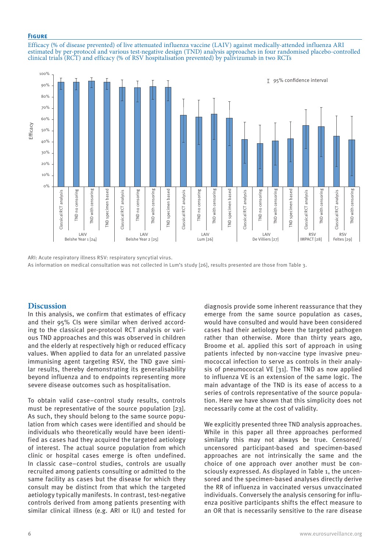#### **Figure**

Efficacy (% of disease prevented) of live attenuated influenza vaccine (LAIV) against medically-attended influenza ARI estimated by per-protocol and various test-negative design (TND) analysis approaches in four randomised placebo-controlled clinical trials (RCT) and efficacy (% of RSV hospitalisation prevented) by palivizumab in two RCTs



ARI: Acute respiratory illness RSV: respiratory syncytial virus. As information on medical consultation was not collected in Lum's study [26], results presented are those from Table 3.

### **Discussion**

In this analysis, we confirm that estimates of efficacy and their 95% CIs were similar when derived according to the classical per-protocol RCT analysis or various TND approaches and this was observed in children and the elderly at respectively high or reduced efficacy values. When applied to data for an unrelated passive immunising agent targeting RSV, the TND gave similar results, thereby demonstrating its generalisability beyond influenza and to endpoints representing more severe disease outcomes such as hospitalisation.

To obtain valid case–control study results, controls must be representative of the source population [23]. As such, they should belong to the same source population from which cases were identified and should be individuals who theoretically would have been identified as cases had they acquired the targeted aetiology of interest. The actual source population from which clinic or hospital cases emerge is often undefined. In classic case–control studies, controls are usually recruited among patients consulting or admitted to the same facility as cases but the disease for which they consult may be distinct from that which the targeted aetiology typically manifests. In contrast, test-negative controls derived from among patients presenting with similar clinical illness (e.g. ARI or ILI) and tested for

diagnosis provide some inherent reassurance that they emerge from the same source population as cases, would have consulted and would have been considered cases had their aetiology been the targeted pathogen rather than otherwise. More than thirty years ago, Broome et al. applied this sort of approach in using patients infected by non-vaccine type invasive pneumococcal infection to serve as controls in their analysis of pneumococcal VE [31]. The TND as now applied to influenza VE is an extension of the same logic. The main advantage of the TND is its ease of access to a series of controls representative of the source population. Here we have shown that this simplicity does not necessarily come at the cost of validity.

We explicitly presented three TND analysis approaches. While in this paper all three approaches performed similarly this may not always be true. Censored/ uncensored participant-based and specimen-based approaches are not intrinsically the same and the choice of one approach over another must be consciously expressed. As displayed in Table 1, the uncensored and the specimen-based analyses directly derive the RR of influenza in vaccinated versus unvaccinated individuals. Conversely the analysis censoring for influenza positive participants shifts the effect measure to an OR that is necessarily sensitive to the rare disease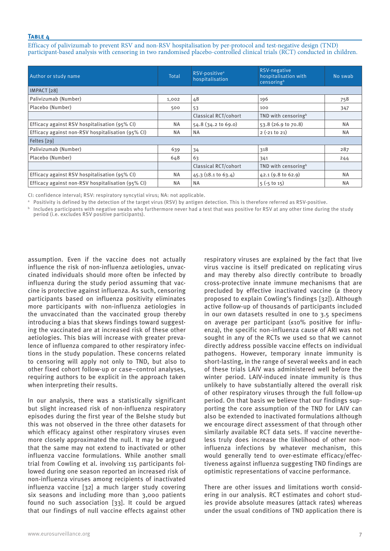Efficacy of palivizumab to prevent RSV and non-RSV hospitalisation by per-protocol and test-negative design (TND) participant-based analysis with censoring in two randomised placebo-controlled clinical trials (RCT) conducted in children.

| Author or study name                              | Total     | RSV-positive <sup>a</sup><br>hospitalisation | RSV-negative<br>hospitalisation with<br>censoringb | No swab   |  |  |
|---------------------------------------------------|-----------|----------------------------------------------|----------------------------------------------------|-----------|--|--|
| IMPACT [28]                                       |           |                                              |                                                    |           |  |  |
| Palivizumab (Number)                              | 1,002     | 48                                           | 196                                                | 758       |  |  |
| Placebo (Number)                                  | 500       | 53                                           | 100                                                | 347       |  |  |
|                                                   |           | <b>Classical RCT/cohort</b>                  | TND with censoring <sup>b</sup>                    |           |  |  |
| Efficacy against RSV hospitalisation (95% CI)     | <b>NA</b> | 54.8 (34.2 to 69.0)                          | $53.8(26.9 \text{ to } 70.8)$                      | <b>NA</b> |  |  |
| Efficacy against non-RSV hospitalisation (95% CI) | <b>NA</b> | <b>NA</b>                                    | $2 (-21 t0 21)$                                    | <b>NA</b> |  |  |
| Feltes [29]                                       |           |                                              |                                                    |           |  |  |
| Palivizumab (Number)                              | 639       | 34                                           | 318                                                | 287       |  |  |
| Placebo (Number)                                  | 648       | 63                                           | 341                                                | 244       |  |  |
|                                                   |           | Classical RCT/cohort                         | TND with censoring <sup>b</sup>                    |           |  |  |
| Efficacy against RSV hospitalisation (95% CI)     | <b>NA</b> | $45.3$ (18.1 to 63.4)                        | 42.1(9.8 to 62.9)                                  | <b>NA</b> |  |  |
| Efficacy against non-RSV hospitalisation (95% CI) | <b>NA</b> | <b>NA</b>                                    | $5(-5)$ to 15)                                     | <b>NA</b> |  |  |

CI: confidence interval; RSV: respiratory syncytial virus; NA: not applicable.

a Positivity is defined by the detection of the target virus (RSV) by antigen detection. This is therefore referred as RSV-positive.

 $b$  Includes participants with negative swabs who furthermore never had a test that was positive for RSV at any other time during the study period (i.e. excludes RSV positive participants).

assumption. Even if the vaccine does not actually influence the risk of non-influenza aetiologies, unvaccinated individuals should more often be infected by influenza during the study period assuming that vaccine is protective against influenza. As such, censoring participants based on influenza positivity eliminates more participants with non-influenza aetiologies in the unvaccinated than the vaccinated group thereby introducing a bias that skews findings toward suggesting the vaccinated are at increased risk of these other aetiologies. This bias will increase with greater prevalence of influenza compared to other respiratory infections in the study population. These concerns related to censoring will apply not only to TND, but also to other fixed cohort follow-up or case–control analyses, requiring authors to be explicit in the approach taken when interpreting their results.

In our analysis, there was a statistically significant but slight increased risk of non-influenza respiratory episodes during the first year of the Belshe study but this was not observed in the three other datasets for which efficacy against other respiratory viruses even more closely approximated the null. It may be argued that the same may not extend to inactivated or other influenza vaccine formulations. While another small trial from Cowling et al. involving 115 participants followed during one season reported an increased risk of non-influenza viruses among recipients of inactivated influenza vaccine [32] a much larger study covering six seasons and including more than 3,000 patients found no such association [33]. It could be argued that our findings of null vaccine effects against other respiratory viruses are explained by the fact that live virus vaccine is itself predicated on replicating virus and may thereby also directly contribute to broadly cross-protective innate immune mechanisms that are precluded by effective inactivated vaccine (a theory proposed to explain Cowling's findings [32]). Although active follow-up of thousands of participants included in our own datasets resulted in one to 3.5 specimens on average per participant (≤10% positive for influenza), the specific non-influenza cause of ARI was not sought in any of the RCTs we used so that we cannot directly address possible vaccine effects on individual pathogens. However, temporary innate immunity is short-lasting, in the range of several weeks and in each of these trials LAIV was administered well before the winter period. LAIV-induced innate immunity is thus unlikely to have substantially altered the overall risk of other respiratory viruses through the full follow-up period. On that basis we believe that our findings supporting the core assumption of the TND for LAIV can also be extended to inactivated formulations although we encourage direct assessment of that through other similarly available RCT data sets. If vaccine nevertheless truly does increase the likelihood of other noninfluenza infections by whatever mechanism, this would generally tend to over-estimate efficacy/effectiveness against influenza suggesting TND findings are optimistic representations of vaccine performance.

There are other issues and limitations worth considering in our analysis. RCT estimates and cohort studies provide absolute measures (attack rates) whereas under the usual conditions of TND application there is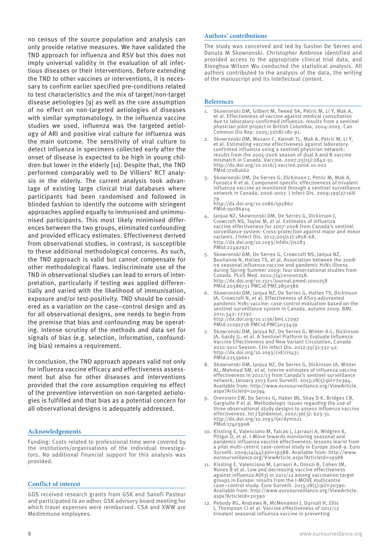no census of the source population and analysis can only provide relative measures. We have validated the TND approach for influenza and RSV but this does not imply universal validity in the evaluation of all infectious diseases or their interventions. Before extending the TND to other vaccines or interventions, it is necessary to confirm earlier specified pre-conditions related to test characteristics and the mix of target/non-target disease aetiologies [9] as well as the core assumption of no effect on non-targeted aetiologies of diseases with similar symptomatology. In the influenza vaccine studies we used, influenza was the targeted aetiology of ARI and positive viral culture for influenza was the main outcome. The sensitivity of viral culture to detect influenza in specimens collected early after the onset of disease is expected to be high in young children but lower in the elderly [11]. Despite that, the TND performed comparably well to De Villiers' RCT analysis in the elderly. The current analysis took advantage of existing large clinical trial databases where participants had been randomised and followed in blinded fashion to identify the outcome with stringent approaches applied equally to immunised and unimmunised participants. This most likely minimised differences between the two groups, eliminated confounding and provided efficacy estimates. Effectiveness derived from observational studies, in contrast, is susceptible to these additional methodological concerns. As such, the TND approach is valid but cannot compensate for other methodological flaws. Indiscriminate use of the TND in observational studies can lead to errors of interpretation, particularly if testing was applied differentially and varied with the likelihood of immunisation, exposure and/or test-positivity. TND should be considered as a variation on the case–control design and as for all observational designs, one needs to begin from the premise that bias and confounding may be operating. Intense scrutiny of the methods and data set for signals of bias (e.g. selection, information, confounding bias) remains a requirement.

In conclusion, the TND approach appears valid not only for influenza vaccine efficacy and effectiveness assessment but also for other diseases and interventions provided that the core assumption requiring no effect of the preventive intervention on non-targeted aetiologies is fulfilled and that bias as a potential concern for all observational designs is adequately addressed.

#### **Acknowledgements**

Funding: Costs related to professional time were covered by the institutions/organisations of the individual investigators. No additional financial support for this analysis was provided.

#### **Conflict of interest**

GDS received research grants from GSK and Sanofi Pasteur and participated to an adhoc GSK advisory board meeting for which travel expenses were reimbursed. CSA and XWW are MedImmune employees.

#### **Authors' contributions**

The study was conceived and led by Gaston De Serres and Danuta M Skowronski. Christopher Ambrose identified and provided access to the appropriate clinical trial data, and Xionghua Wilson Wu conducted the statistical analysis. All authors contributed to the analysis of the data, the writing of the manuscript and its intellectual content.

#### **References**

- 1. Skowronski DM, Gilbert M, Tweed SA, Petric M, Li Y, Mak A, et al. Effectiveness of vaccine against medical consultation due to laboratory-confirmed influenza: results from a sentinel physician pilot project in British Columbia, 2004-2005. Can Commun Dis Rep. 2005;31(18):181-91.
- 2. Skowronski DM, Masaro C, Kwindt TL, Mak A, Petric M, Li Y, et al. Estimating vaccine effectiveness against laboratoryconfirmed influenza using a sentinel physician network: results from the 2005-2006 season of dual A and B vaccine mismatch in Canada. Vaccine. 2007;25(15):2842-51. http://dx.doi.org/10.1016/j.vaccine.2006.10.002 PMid:17081662
- 3. Skowronski DM, De Serres G, Dickinson J, Petric M, Mak A, Fonseca K et al. Component-specific effectiveness of trivalent influenza vaccine as monitored through a sentinel surveillance network in Canada, 2006-2007. J Infect Dis. 2009;199(2):168- 79.

http://dx.doi.org/10.1086/595862 PMid:19086914

- 4. Janjua NZ, Skowronski DM, De Serres G, Dickinson J, Crowcroft NS, Taylor M, et al. Estimates of influenza vaccine effectiveness for 2007-2008 from Canada's sentinel surveillance system: Cross-protection against major and minor variants. J Infect Dis. 2012;205(12):1858-68. http://dx.doi.org/10.1093/infdis/jis283 PMid:22492921
- 5. Skowronski DM, De Serres G, Crowcroft NS, Janjua NZ, Boulianne N, Hottes TS, et al. Association between the 2008- 09 seasonal influenza vaccine and pandemic H1N1 illness during Spring-Summer 2009: four observational studies from Canada. PLoS Med. 2010;7(4):e1000258. http://dx.doi.org/10.1371/journal.pmed.1000258 PMid:20386731 PMCid:PMC2850386
- 6. Skowronski DM, Janjua NZ, De Serres G, Hottes TS, Dickinson JA, Crowcroft N, et al. Effectiveness of AS03-adjuvanted pandemic H1N1 vaccine: case-control evaluation based on the sentinel surveillance system in Canada, autumn 2009. BMJ. 2011;342: c7297. http://dx.doi.org/10.1136/bmj.c7297 PMid:21292718 PMCid:PMC3033439
- 7. Skowronski DM, Janjua NZ, De Serres G, Winter A-L, Dickinson JA, Gardy JL, et al. A Sentinel Platform to Evaluate Influenza Vaccine Effectiveness and New Variant Circulation, Canada 2010-2011 Season. Clin Infect Dis. 2012;55(3):332-42. http://dx.doi.org/10.1093/cid/cis431 PMid:22539661
- 8. Skowronski DM, Janjua NZ, De Serres G, Dickinson JA, Winter AL, Mahmud SM, et al. Interim estimates of influenza vaccine effectiveness in 2012/13 from Canada's sentinel surveillance network, January 2013 Euro Surveill. 2013;18(5):pii=20394. Available from: http://www.eurosurveillance.org/ViewArticle. aspx?ArticleId=20394
- 9. Orenstein EW, De Serres G, Haber MJ, Shay D K, Bridges CB, Gargiullo P et al. Methodologic issues regarding the use of three observational study designs to assess influenza vaccine effectiveness. Int J Epidemiol. 2007;36(3): 623-31. http://dx.doi.org/10.1093/ije/dym021 PMid:17403908
- 10. Kissling E, Valenciano M, Falcao J, Larrauri A, Widgren K, Pitigoi D, et al. I-Move towards monitoring seasonal and pandemic influenza vaccine effectiveness: lessons learnt from a pilot multi-centric case-control study in Europe 2008-9. Euro Surveill. 2009;14(44):pii=19388. Available from: http://www. eurosurveillance.org/ViewArticle.aspx?ArticleId=19388
- 11. Kissling E, Valenciano M, Larrauri A, Oroszi B, Cohen JM, Nunes B et al. Low and decreasing vaccine effectiveness against influenza A(H3) in 2011/12 among vaccination target groups in Europe: results from the I-MOVE multicentre case–control study. Euro Surveill. 2013;18(5):pii=20390. Available from: http://www.eurosurveillance.org/ViewArticle. aspx?ArticleId=20390
- 12. Pebody RG, Andrews N, McMenamin J, Durnall H, Ellis J, Thompson CI et al. Vaccine effectiveness of 2011/12 trivalent seasonal influenza vaccine in preventing